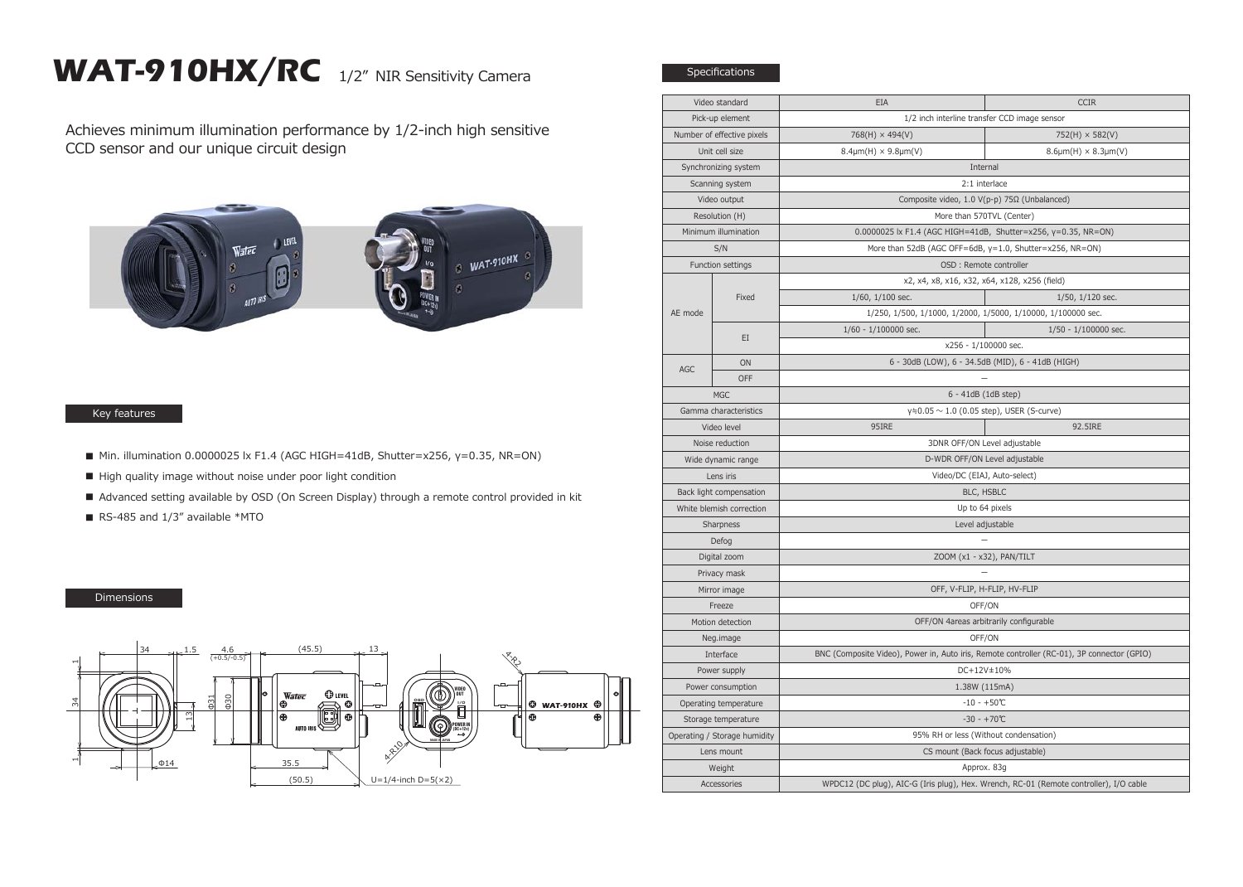## WAT-910HX/RC 1/2" NIR Sensitivity Camera

Achieves minimum illumination performance by 1/2-inch high sensitive CCD sensor and our unique circuit design



## Key features

- $\blacksquare$  Min. illumination 0.0000025 lx F1.4 (AGC HIGH=41dB, Shutter=x256, γ=0.35, NR=ON)
- High quality image without noise under poor light condition
- Advanced setting available by OSD (On Screen Display) through a remote control provided in kit
- RS-485 and 1/3" available \*MTO

## Dimensions



| Video standard               |            | EIA                                                                                        | <b>CCIR</b>                                                  |  |
|------------------------------|------------|--------------------------------------------------------------------------------------------|--------------------------------------------------------------|--|
| Pick-up element              |            | 1/2 inch interline transfer CCD image sensor                                               |                                                              |  |
| Number of effective pixels   |            | $768(H) \times 494(V)$                                                                     | $752(H) \times 582(V)$                                       |  |
| Unit cell size               |            | $8.4 \mu m(H) \times 9.8 \mu m(V)$                                                         | $8.6 \mu m(H) \times 8.3 \mu m(V)$                           |  |
| Synchronizing system         |            | Internal                                                                                   |                                                              |  |
| Scanning system              |            | 2:1 interlace                                                                              |                                                              |  |
| Video output                 |            | Composite video, 1.0 V(p-p) 75Ω (Unbalanced)                                               |                                                              |  |
| Resolution (H)               |            | More than 570TVL (Center)                                                                  |                                                              |  |
| Minimum illumination         |            | 0.0000025 lx F1.4 (AGC HIGH=41dB, Shutter=x256, y=0.35, NR=ON)                             |                                                              |  |
| S/N                          |            | More than 52dB (AGC OFF=6dB, y=1.0, Shutter=x256, NR=ON)                                   |                                                              |  |
| Function settings            |            | OSD : Remote controller                                                                    |                                                              |  |
| AE mode                      | Fixed      | x2, x4, x8, x16, x32, x64, x128, x256 (field)                                              |                                                              |  |
|                              |            | $1/60$ , $1/100$ sec.                                                                      | $1/50$ , $1/120$ sec.                                        |  |
|                              |            |                                                                                            | 1/250, 1/500, 1/1000, 1/2000, 1/5000, 1/10000, 1/100000 sec. |  |
|                              | EI         | $1/60 - 1/100000$ sec.                                                                     | 1/50 - 1/100000 sec.                                         |  |
|                              |            | x256 - 1/100000 sec.                                                                       |                                                              |  |
| AGC                          | ON         | 6 - 30dB (LOW), 6 - 34.5dB (MID), 6 - 41dB (HIGH)                                          |                                                              |  |
|                              | <b>OFF</b> |                                                                                            |                                                              |  |
| <b>MGC</b>                   |            | 6 - 41dB (1dB step)                                                                        |                                                              |  |
| Gamma characteristics        |            | $y = 0.05 \sim 1.0$ (0.05 step), USER (S-curve)                                            |                                                              |  |
| Video level                  |            | 95IRE                                                                                      | 92.5IRE                                                      |  |
| Noise reduction              |            | 3DNR OFF/ON Level adjustable                                                               |                                                              |  |
| Wide dynamic range           |            | D-WDR OFF/ON Level adjustable                                                              |                                                              |  |
| Lens iris                    |            | Video/DC (EIAJ, Auto-select)                                                               |                                                              |  |
| Back light compensation      |            | BLC, HSBLC                                                                                 |                                                              |  |
| White blemish correction     |            | Up to 64 pixels                                                                            |                                                              |  |
| Sharpness                    |            | Level adjustable                                                                           |                                                              |  |
| Defog                        |            |                                                                                            |                                                              |  |
| Digital zoom                 |            | ZOOM (x1 - x32), PAN/TILT                                                                  |                                                              |  |
| Privacy mask                 |            |                                                                                            |                                                              |  |
| Mirror image                 |            | OFF, V-FLIP, H-FLIP, HV-FLIP                                                               |                                                              |  |
| Freeze                       |            | OFF/ON                                                                                     |                                                              |  |
| Motion detection             |            | OFF/ON 4areas arbitrarily configurable                                                     |                                                              |  |
| Neg.image                    |            | OFF/ON                                                                                     |                                                              |  |
| Interface                    |            | BNC (Composite Video), Power in, Auto iris, Remote controller (RC-01), 3P connector (GPIO) |                                                              |  |
| Power supply                 |            | DC+12V±10%                                                                                 |                                                              |  |
| Power consumption            |            | 1.38W (115mA)                                                                              |                                                              |  |
| Operating temperature        |            | $-10 - +50$ °C                                                                             |                                                              |  |
| Storage temperature          |            | $-30 - +70$ °C                                                                             |                                                              |  |
| Operating / Storage humidity |            | 95% RH or less (Without condensation)                                                      |                                                              |  |
| Lens mount                   |            |                                                                                            | CS mount (Back focus adjustable)                             |  |
| Weight                       |            | Approx. 83g                                                                                |                                                              |  |
| Accessories                  |            | WPDC12 (DC plug), AIC-G (Iris plug), Hex. Wrench, RC-01 (Remote controller), I/O cable     |                                                              |  |

Specifications